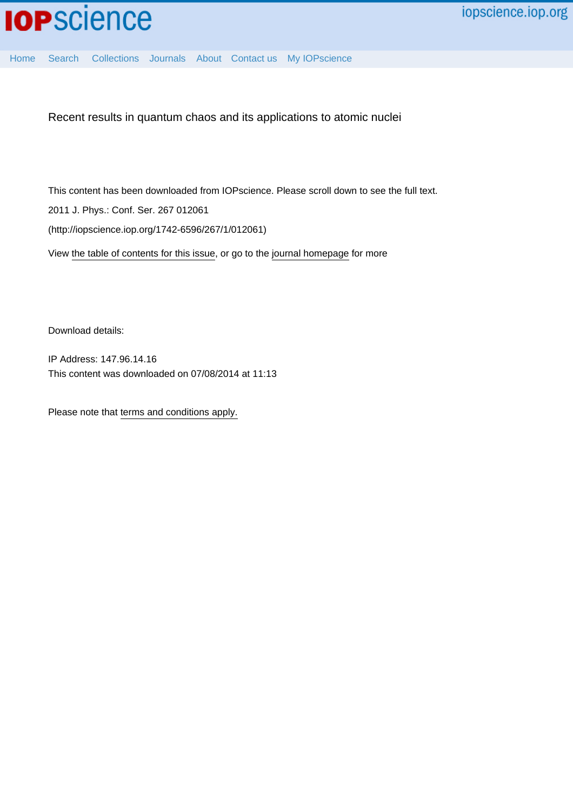

[Home](http://iopscience.iop.org/) [Search](http://iopscience.iop.org/search) [Collections](http://iopscience.iop.org/collections) [Journals](http://iopscience.iop.org/journals) [About](http://iopscience.iop.org/page/aboutioppublishing) [Contact us](http://iopscience.iop.org/contact) [My IOPscience](http://iopscience.iop.org/myiopscience)

Recent results in quantum chaos and its applications to atomic nuclei

This content has been downloaded from IOPscience. Please scroll down to see the full text. 2011 J. Phys.: Conf. Ser. 267 012061 (http://iopscience.iop.org/1742-6596/267/1/012061)

View [the table of contents for this issue](http://iopscience.iop.org/1742-6596/267/1), or go to the [journal homepage](http://iopscience.iop.org/1742-6596) for more

Download details:

IP Address: 147.96.14.16 This content was downloaded on 07/08/2014 at 11:13

Please note that [terms and conditions apply.](iopscience.iop.org/page/terms)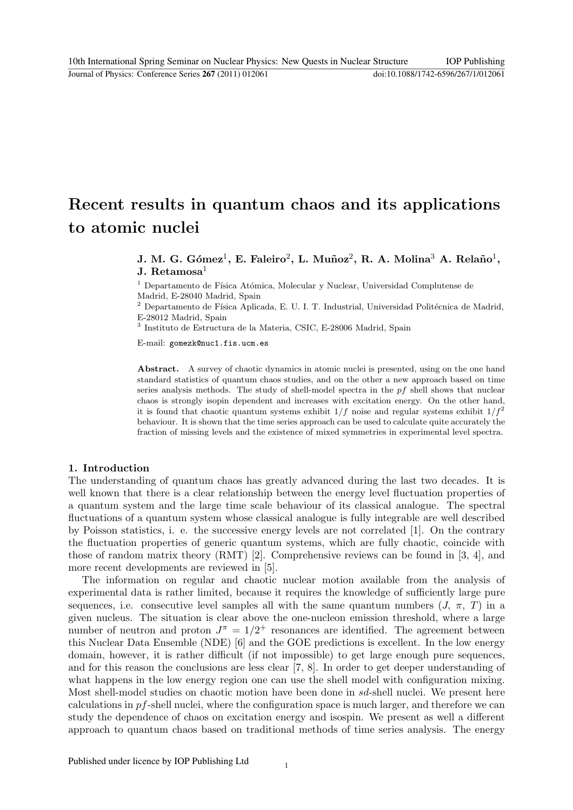# Recent results in quantum chaos and its applications to atomic nuclei

## J. M. G. Gómez<sup>1</sup>, E. Faleiro<sup>2</sup>, L. Muñoz<sup>2</sup>, R. A. Molina<sup>3</sup> A. Relaño<sup>1</sup>, **J.** Retamosa<sup>1</sup>

 $^{\rm 1}$  Departamento de Física Atómica, Molecular y Nuclear, Universidad Complutense de Madrid, E-28040 Madrid, Spain

 $^2$  Departamento de Física Aplicada, E. U. I. T. Industrial, Universidad Politécnica de Madrid, E-28012 Madrid, Spain

3 Instituto de Estructura de la Materia, CSIC, E-28006 Madrid, Spain

E-mail: gomezk@nuc1.fis.ucm.es

Abstract. A survey of chaotic dynamics in atomic nuclei is presented, using on the one hand standard statistics of quantum chaos studies, and on the other a new approach based on time series analysis methods. The study of shell-model spectra in the pf shell shows that nuclear chaos is strongly isopin dependent and increases with excitation energy. On the other hand, it is found that chaotic quantum systems exhibit  $1/f$  noise and regular systems exhibit  $1/f^2$ behaviour. It is shown that the time series approach can be used to calculate quite accurately the fraction of missing levels and the existence of mixed symmetries in experimental level spectra.

#### 1. Introduction

The understanding of quantum chaos has greatly advanced during the last two decades. It is well known that there is a clear relationship between the energy level fluctuation properties of a quantum system and the large time scale behaviour of its classical analogue. The spectral fluctuations of a quantum system whose classical analogue is fully integrable are well described by Poisson statistics, i. e. the successive energy levels are not correlated [1]. On the contrary the fluctuation properties of generic quantum systems, which are fully chaotic, coincide with those of random matrix theory (RMT) [2]. Comprehensive reviews can be found in [3, 4], and more recent developments are reviewed in [5].

The information on regular and chaotic nuclear motion available from the analysis of experimental data is rather limited, because it requires the knowledge of sufficiently large pure sequences, i.e. consecutive level samples all with the same quantum numbers  $(J, \pi, T)$  in a given nucleus. The situation is clear above the one-nucleon emission threshold, where a large number of neutron and proton  $J^{\pi} = 1/2^{+}$  resonances are identified. The agreement between this Nuclear Data Ensemble (NDE) [6] and the GOE predictions is excellent. In the low energy domain, however, it is rather difficult (if not impossible) to get large enough pure sequences, and for this reason the conclusions are less clear [7, 8]. In order to get deeper understanding of what happens in the low energy region one can use the shell model with configuration mixing. Most shell-model studies on chaotic motion have been done in sd-shell nuclei. We present here calculations in  $pf$ -shell nuclei, where the configuration space is much larger, and therefore we can study the dependence of chaos on excitation energy and isospin. We present as well a different approach to quantum chaos based on traditional methods of time series analysis. The energy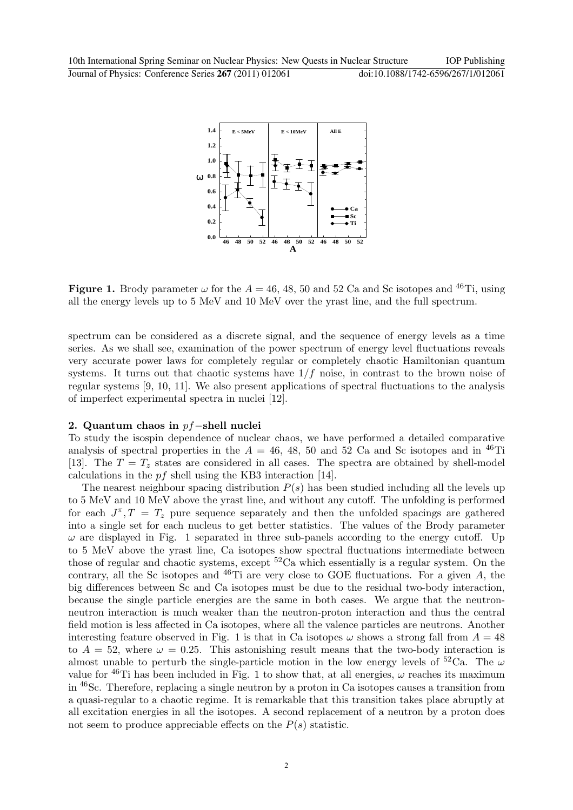

**Figure 1.** Brody parameter  $\omega$  for the  $A = 46, 48, 50$  and 52 Ca and Sc isotopes and <sup>46</sup>Ti, using all the energy levels up to 5 MeV and 10 MeV over the yrast line, and the full spectrum.

spectrum can be considered as a discrete signal, and the sequence of energy levels as a time series. As we shall see, examination of the power spectrum of energy level fluctuations reveals very accurate power laws for completely regular or completely chaotic Hamiltonian quantum systems. It turns out that chaotic systems have  $1/f$  noise, in contrast to the brown noise of regular systems [9, 10, 11]. We also present applications of spectral fluctuations to the analysis of imperfect experimental spectra in nuclei [12].

### 2. Quantum chaos in pf−shell nuclei

To study the isospin dependence of nuclear chaos, we have performed a detailed comparative analysis of spectral properties in the  $A = 46, 48, 50$  and 52 Ca and Sc isotopes and in <sup>46</sup>Ti [13]. The  $T = T<sub>z</sub>$  states are considered in all cases. The spectra are obtained by shell-model calculations in the  $pf$  shell using the KB3 interaction [14].

The nearest neighbour spacing distribution  $P(s)$  has been studied including all the levels up to 5 MeV and 10 MeV above the yrast line, and without any cutoff. The unfolding is performed for each  $J^{\pi}, T = T_z$  pure sequence separately and then the unfolded spacings are gathered into a single set for each nucleus to get better statistics. The values of the Brody parameter  $\omega$  are displayed in Fig. 1 separated in three sub-panels according to the energy cutoff. Up to 5 MeV above the yrast line, Ca isotopes show spectral fluctuations intermediate between those of regular and chaotic systems, except  ${}^{52}$ Ca which essentially is a regular system. On the contrary, all the Sc isotopes and  $^{46}$ Ti are very close to GOE fluctuations. For a given A, the big differences between Sc and Ca isotopes must be due to the residual two-body interaction, because the single particle energies are the same in both cases. We argue that the neutronneutron interaction is much weaker than the neutron-proton interaction and thus the central field motion is less affected in Ca isotopes, where all the valence particles are neutrons. Another interesting feature observed in Fig. 1 is that in Ca isotopes  $\omega$  shows a strong fall from  $A = 48$ to  $A = 52$ , where  $\omega = 0.25$ . This astonishing result means that the two-body interaction is almost unable to perturb the single-particle motion in the low energy levels of  ${}^{52}Ca$ . The  $\omega$ value for  $^{46}$ Ti has been included in Fig. 1 to show that, at all energies,  $\omega$  reaches its maximum in <sup>46</sup>Sc. Therefore, replacing a single neutron by a proton in Ca isotopes causes a transition from a quasi-regular to a chaotic regime. It is remarkable that this transition takes place abruptly at all excitation energies in all the isotopes. A second replacement of a neutron by a proton does not seem to produce appreciable effects on the  $P(s)$  statistic.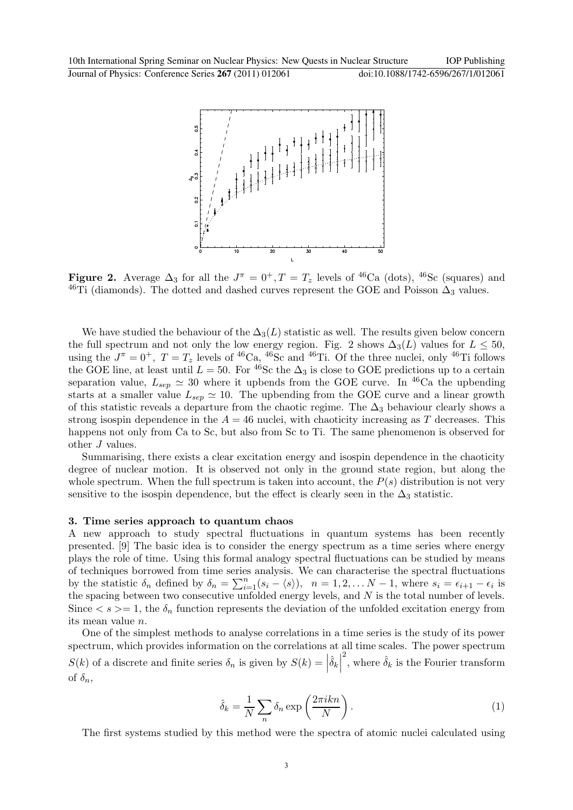10th International Spring Seminar on Nuclear Physics: New Quests in Nuclear Structure IOP Publishing Journal of Physics: Conference Series **267** (2011) 012061 doi:10.1088/1742-6596/267/1/012061



**Figure 2.** Average  $\Delta_3$  for all the  $J^{\pi} = 0^+, T = T_z$  levels of <sup>46</sup>Ca (dots), <sup>46</sup>Sc (squares) and <sup>46</sup>Ti (diamonds). The dotted and dashed curves represent the GOE and Poisson  $\Delta_3$  values.

We have studied the behaviour of the  $\Delta_3(L)$  statistic as well. The results given below concern the full spectrum and not only the low energy region. Fig. 2 shows  $\Delta_3(L)$  values for  $L \leq 50$ , using the  $J^{\pi} = 0^+$ ,  $T = T_z$  levels of <sup>46</sup>Ca, <sup>46</sup>Sc and <sup>46</sup>Ti. Of the three nuclei, only <sup>46</sup>Ti follows the GOE line, at least until  $L = 50$ . For <sup>46</sup>Sc the  $\Delta_3$  is close to GOE predictions up to a certain separation value,  $L_{sep} \simeq 30$  where it upbends from the GOE curve. In <sup>46</sup>Ca the upbending starts at a smaller value  $L_{sep} \simeq 10$ . The upbending from the GOE curve and a linear growth of this statistic reveals a departure from the chaotic regime. The  $\Delta_3$  behaviour clearly shows a strong isospin dependence in the  $A = 46$  nuclei, with chaoticity increasing as T decreases. This happens not only from Ca to Sc, but also from Sc to Ti. The same phenomenon is observed for other J values.

Summarising, there exists a clear excitation energy and isospin dependence in the chaoticity degree of nuclear motion. It is observed not only in the ground state region, but along the whole spectrum. When the full spectrum is taken into account, the  $P(s)$  distribution is not very sensitive to the isospin dependence, but the effect is clearly seen in the  $\Delta_3$  statistic.

#### 3. Time series approach to quantum chaos

A new approach to study spectral fluctuations in quantum systems has been recently presented. [9] The basic idea is to consider the energy spectrum as a time series where energy plays the role of time. Using this formal analogy spectral fluctuations can be studied by means of techniques borrowed from time series analysis. We can characterise the spectral fluctuations by the statistic  $\delta_n$  defined by  $\delta_n = \sum_{i=1}^n (s_i - \langle s \rangle), \quad n = 1, 2, \ldots N-1$ , where  $s_i = \epsilon_{i+1} - \epsilon_i$  is the spacing between two consecutive unfolded energy levels, and  $N$  is the total number of levels. Since  $\langle s \rangle = 1$ , the  $\delta_n$  function represents the deviation of the unfolded excitation energy from its mean value n.

One of the simplest methods to analyse correlations in a time series is the study of its power spectrum, which provides information on the correlations at all time scales. The power spectrum  $S(k)$  of a discrete and finite series  $\delta_n$  is given by  $S(k) = \left| \hat{\delta}_k \right|$ <sup>2</sup>, where  $\hat{\delta}_k$  is the Fourier transform of  $\delta_n$ ,

$$
\hat{\delta}_k = \frac{1}{N} \sum_n \delta_n \exp\left(\frac{2\pi i k n}{N}\right). \tag{1}
$$

The first systems studied by this method were the spectra of atomic nuclei calculated using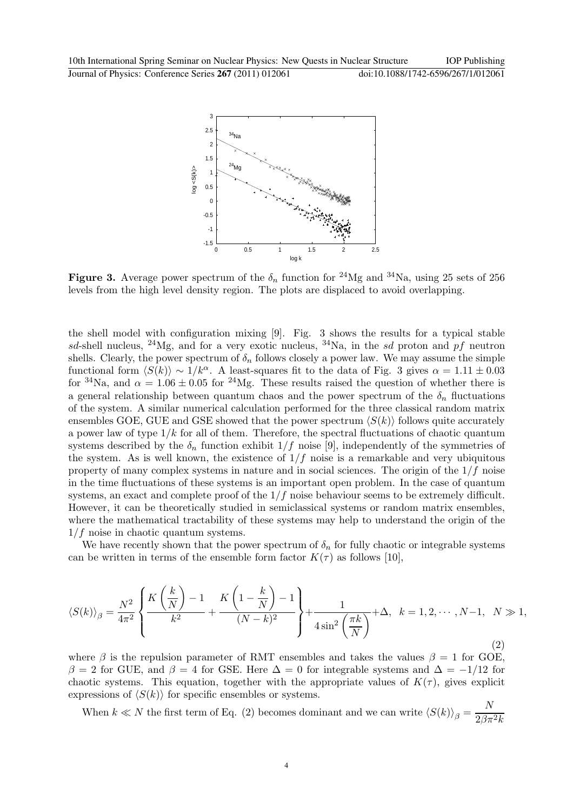

Figure 3. Average power spectrum of the  $\delta_n$  function for <sup>24</sup>Mg and <sup>34</sup>Na, using 25 sets of 256 levels from the high level density region. The plots are displaced to avoid overlapping.

the shell model with configuration mixing [9]. Fig. 3 shows the results for a typical stable sd-shell nucleus, <sup>24</sup>Mg, and for a very exotic nucleus, <sup>34</sup>Na, in the sd proton and pf neutron shells. Clearly, the power spectrum of  $\delta_n$  follows closely a power law. We may assume the simple functional form  $\langle S(k)\rangle \sim 1/k^{\alpha}$ . A least-squares fit to the data of Fig. 3 gives  $\alpha = 1.11 \pm 0.03$ for <sup>34</sup>Na, and  $\alpha = 1.06 \pm 0.05$  for <sup>24</sup>Mg. These results raised the question of whether there is a general relationship between quantum chaos and the power spectrum of the  $\delta_n$  fluctuations of the system. A similar numerical calculation performed for the three classical random matrix ensembles GOE, GUE and GSE showed that the power spectrum  $\langle S(k) \rangle$  follows quite accurately a power law of type  $1/k$  for all of them. Therefore, the spectral fluctuations of chaotic quantum systems described by the  $\delta_n$  function exhibit  $1/f$  noise [9], independently of the symmetries of the system. As is well known, the existence of  $1/f$  noise is a remarkable and very ubiquitous property of many complex systems in nature and in social sciences. The origin of the  $1/f$  noise in the time fluctuations of these systems is an important open problem. In the case of quantum systems, an exact and complete proof of the  $1/f$  noise behaviour seems to be extremely difficult. However, it can be theoretically studied in semiclassical systems or random matrix ensembles, where the mathematical tractability of these systems may help to understand the origin of the  $1/f$  noise in chaotic quantum systems.

We have recently shown that the power spectrum of  $\delta_n$  for fully chaotic or integrable systems can be written in terms of the ensemble form factor  $K(\tau)$  as follows [10],

$$
\langle S(k)\rangle_{\beta} = \frac{N^2}{4\pi^2} \left\{ \frac{K\left(\frac{k}{N}\right) - 1}{k^2} + \frac{K\left(1 - \frac{k}{N}\right) - 1}{(N - k)^2} \right\} + \frac{1}{4\sin^2\left(\frac{\pi k}{N}\right)} + \Delta, \quad k = 1, 2, \cdots, N - 1, \quad N \gg 1,
$$
\n(2)

where  $\beta$  is the repulsion parameter of RMT ensembles and takes the values  $\beta = 1$  for GOE,  $β = 2$  for GUE, and  $β = 4$  for GSE. Here  $Δ = 0$  for integrable systems and  $Δ = -1/12$  for chaotic systems. This equation, together with the appropriate values of  $K(\tau)$ , gives explicit expressions of  $\langle S(k) \rangle$  for specific ensembles or systems.

When  $k \ll N$  the first term of Eq. (2) becomes dominant and we can write  $\langle S(k) \rangle_{\beta} = \frac{N}{2\beta\pi}$  $2\beta\pi^2k$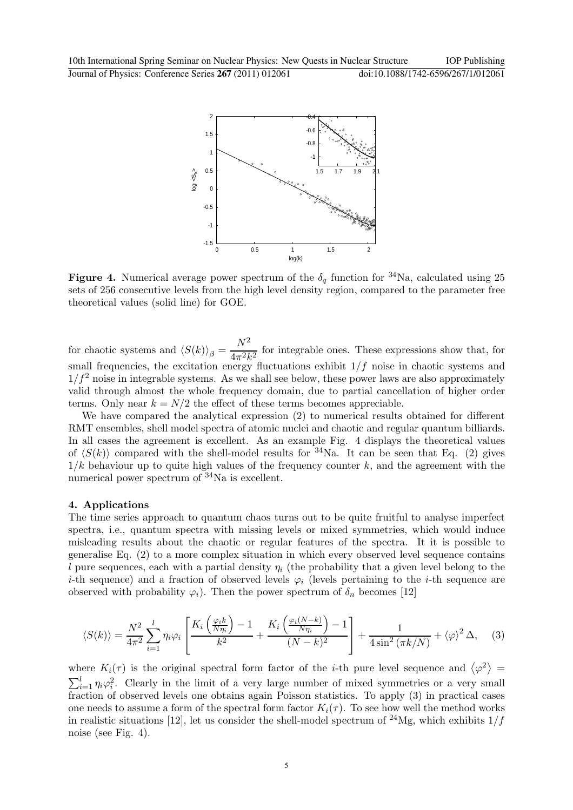

**Figure 4.** Numerical average power spectrum of the  $\delta_q$  function for <sup>34</sup>Na, calculated using 25 sets of 256 consecutive levels from the high level density region, compared to the parameter free theoretical values (solid line) for GOE.

for chaotic systems and  $\langle S(k)\rangle_{\beta} =$  $N^2$  $\frac{1}{4\pi^2 k^2}$  for integrable ones. These expressions show that, for small frequencies, the excitation energy fluctuations exhibit  $1/f$  noise in chaotic systems and  $1/f<sup>2</sup>$  noise in integrable systems. As we shall see below, these power laws are also approximately valid through almost the whole frequency domain, due to partial cancellation of higher order terms. Only near  $k = N/2$  the effect of these terms becomes appreciable.

We have compared the analytical expression (2) to numerical results obtained for different RMT ensembles, shell model spectra of atomic nuclei and chaotic and regular quantum billiards. In all cases the agreement is excellent. As an example Fig. 4 displays the theoretical values of  $\langle S(k)\rangle$  compared with the shell-model results for  $34$ Na. It can be seen that Eq. (2) gives  $1/k$  behaviour up to quite high values of the frequency counter k, and the agreement with the numerical power spectrum of <sup>34</sup>Na is excellent.

#### 4. Applications

The time series approach to quantum chaos turns out to be quite fruitful to analyse imperfect spectra, i.e., quantum spectra with missing levels or mixed symmetries, which would induce misleading results about the chaotic or regular features of the spectra. It it is possible to generalise Eq. (2) to a more complex situation in which every observed level sequence contains l pure sequences, each with a partial density  $\eta_i$  (the probability that a given level belong to the i-th sequence) and a fraction of observed levels  $\varphi_i$  (levels pertaining to the i-th sequence are observed with probability  $\varphi_i$ ). Then the power spectrum of  $\delta_n$  becomes [12]

$$
\langle S(k)\rangle = \frac{N^2}{4\pi^2} \sum_{i=1}^l \eta_i \varphi_i \left[ \frac{K_i \left(\frac{\varphi_i k}{N\eta_i}\right) - 1}{k^2} + \frac{K_i \left(\frac{\varphi_i (N-k)}{N\eta_i}\right) - 1}{(N-k)^2} \right] + \frac{1}{4\sin^2\left(\pi k/N\right)} + \langle \varphi \rangle^2 \Delta, \quad (3)
$$

where  $K_i(\tau)$  is the original spectral form factor of the *i*-th pure level sequence and  $\langle \varphi^2 \rangle =$  $\sum_{i=1}^{l} \eta_i \varphi_i^2$ . Clearly in the limit of a very large number of mixed symmetries or a very small fraction of observed levels one obtains again Poisson statistics. To apply (3) in practical cases one needs to assume a form of the spectral form factor  $K_i(\tau)$ . To see how well the method works in realistic situations [12], let us consider the shell-model spectrum of <sup>24</sup>Mg, which exhibits  $1/f$ noise (see Fig. 4).